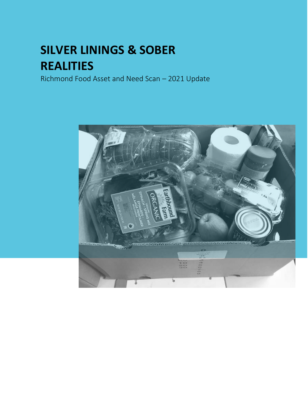# **SILVER LININGS & SOBER REALITIES**

Richmond Food Asset and Need Scan – 2021 Update

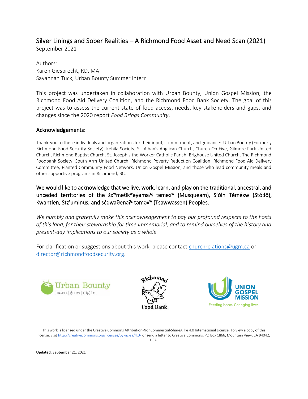### Silver Linings and Sober Realities – A Richmond Food Asset and Need Scan (2021)

September 2021

Authors: Karen Giesbrecht, RD, MA Savannah Tuck, Urban Bounty Summer Intern

This project was undertaken in collaboration with Urban Bounty, Union Gospel Mission, the Richmond Food Aid Delivery Coalition, and the Richmond Food Bank Society. The goal of this project was to assess the current state of food access, needs, key stakeholders and gaps, and changes since the 2020 report *Food Brings Community*.

#### Acknowledgements:

Thank-you to these individuals and organizations for their input, commitment, and guidance: Urban Bounty (Formerly Richmond Food Security Society), Kehila Society, St. Alban's Anglican Church, Church On Five, Gilmore Park United Church, Richmond Baptist Church, St. Joseph's the Worker Catholic Parish, Brighouse United Church, The Richmond Foodbank Society, South Arm United Church, Richmond Poverty Reduction Coalition, Richmond Food Aid Delivery Committee, Planted Community Food Network, Union Gospel Mission, and those who lead community meals and other supportive programs in Richmond, BC.

We would like to acknowledge that we live, work, learn, and play on the traditional, ancestral, and unceded territories of the šx<sup>w</sup>məθk<sup>w</sup>əýəma<sup>3</sup>ł təməx<sup>w</sup> (Musqueam), S'ólh Téméxw (Stó:lō), Kwantlen, Stz'uminus, and sc awa θenaλ tamax<sup>w</sup> (Tsawwassen) Peoples.

*We humbly and gratefully make this acknowledgement to pay our profound respects to the hosts of this land, for their stewardship for time immemorial, and to remind ourselves of the history and present-day implications to our society as a whole.*

For clarification or suggestions about this work, please contact [churchrelations@ugm.ca](mailto:churchrelations@ugm.ca) or [director@richmondfoodsecurity.org.](mailto:director@richmondfoodsecurity.org)







This work is licensed under the Creative Commons Attribution-NonCommercial-ShareAlike 4.0 International License. To view a copy of this license, visi[t http://creativecommons.org/licenses/by-nc-sa/4.0/](http://creativecommons.org/licenses/by-nc-sa/4.0/) or send a letter to Creative Commons, PO Box 1866, Mountain View, CA 94042, USA.

**Updated**: September 21, 2021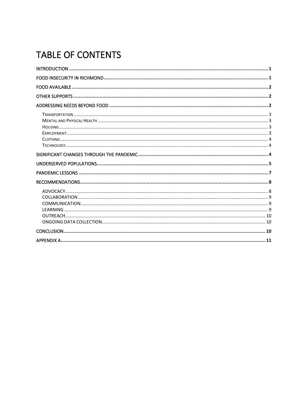# TABLE OF CONTENTS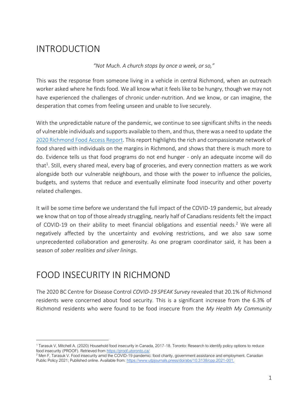# <span id="page-3-0"></span>INTRODUCTION

*"Not Much. A church stops by once a week, or so,"* 

This was the response from someone living in a vehicle in central Richmond, when an outreach worker asked where he finds food. We all know what it feels like to be hungry, though we may not have experienced the challenges of chronic under-nutrition. And we know, or can imagine, the desperation that comes from feeling unseen and unable to live securely.

With the unpredictable nature of the pandemic, we continue to see significant shifts in the needs of vulnerable individuals and supports available to them, and thus, there was a need to update the [2020 Richmond Food Access Report.](https://www.richmondfoodsecurity.org/wp-content/uploads/2020/08/Richmond-Community-Food-Access-Report-1-1.pdf) This report highlights the rich and compassionate network of food shared with individuals on the margins in Richmond, and shows that there is much more to do. Evidence tells us that food programs do not end hunger - only an adequate income will do that<sup>1</sup>. Still, every shared meal, every bag of groceries, and every connection matters as we work alongside both our vulnerable neighbours, and those with the power to influence the policies, budgets, and systems that reduce and eventually eliminate food insecurity and other poverty related challenges.

It will be some time before we understand the full impact of the COVID-19 pandemic, but already we know that on top of those already struggling, nearly half of Canadians residents felt the impact of COVID-19 on their ability to meet financial obligations and essential needs.<sup>2</sup> We were all negatively affected by the uncertainty and evolving restrictions, and we also saw some unprecedented collaboration and generosity. As one program coordinator said, it has been a season of *sober realities and silver linings.*

### <span id="page-3-1"></span>FOOD INSECURITY IN RICHMOND

The 2020 BC Centre for Disease Control *COVID-19 SPEAK Survey* revealed that 20.1% of Richmond residents were concerned about food security. This is a significant increase from the 6.3% of Richmond residents who were found to be food insecure from the *My Health My Community* 

<sup>1</sup> Tarasuk V, Mitchell A. (2020) Household food insecurity in Canada, 2017-18. Toronto: Research to identify policy options to reduce food insecurity (PROOF). Retrieved from<https://proof.utoronto.ca/>

<sup>&</sup>lt;sup>2</sup> Men F, Tarasuk V. Food insecurity amid the COVID-19 pandemic: food charity, government assistance and employment. Canadian Public Policy 2021; Published online. Available from: [https://www.utpjournals.press/doi/abs/10.3138/cpp.2021-001.](https://www.utpjournals.press/doi/abs/10.3138/cpp.2021-001)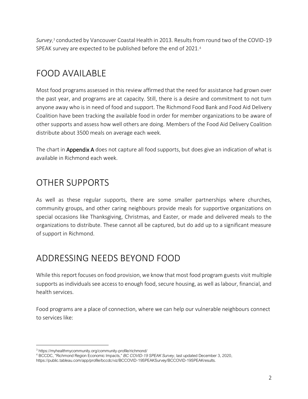*Survey*, <sup>3</sup> conducted by Vancouver Coastal Health in 2013. Results from round two of the COVID-19 SPEAK survey are expected to be published before the end of 2021. 4

# <span id="page-4-0"></span>FOOD AVAILABLE

Most food programs assessed in this review affirmed that the need for assistance had grown over the past year, and programs are at capacity. Still, there is a desire and commitment to not turn anyone away who is in need of food and support. The Richmond Food Bank and Food Aid Delivery Coalition have been tracking the available food in order for member organizations to be aware of other supports and assess how well others are doing. Members of the Food Aid Delivery Coalition distribute about 3500 meals on average each week.

The chart in Appendix A does not capture all food supports, but does give an indication of what is available in Richmond each week.

# <span id="page-4-1"></span>OTHER SUPPORTS

As well as these regular supports, there are some smaller partnerships where churches, community groups, and other caring neighbours provide meals for supportive organizations on special occasions like Thanksgiving, Christmas, and Easter, or made and delivered meals to the organizations to distribute. These cannot all be captured, but do add up to a significant measure of support in Richmond.

### <span id="page-4-2"></span>ADDRESSING NEEDS BEYOND FOOD

While this report focuses on food provision, we know that most food program guests visit multiple supports as individuals see access to enough food, secure housing, as well as labour, financial, and health services.

Food programs are a place of connection, where we can help our vulnerable neighbours connect to services like:

<sup>3</sup> https://myhealthmycommunity.org/community-profile/richmond/

<sup>4</sup> BCCDC, "Richmond Region Economic Impacts," *BC COVID-19 SPEAK Survey*, last updated December 3, 2020, https://public.tableau.com/app/profile/bccdc/viz/BCCOVID-19SPEAKSurvey/BCCOVID-19SPEAKresults.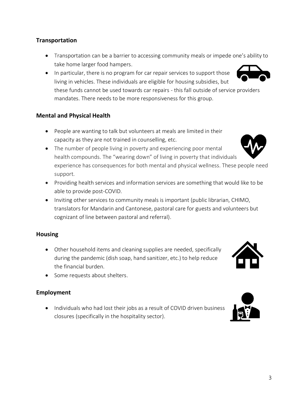### <span id="page-5-0"></span>**Transportation**

- Transportation can be a barrier to accessing community meals or impede one's ability to take home larger food hampers.
- In particular, there is no program for car repair services to support those living in vehicles. These individuals are eligible for housing subsidies, but these funds cannot be used towards car repairs - this fall outside of service providers mandates. There needs to be more responsiveness for this group.

### <span id="page-5-1"></span>**Mental and Physical Health**

- People are wanting to talk but volunteers at meals are limited in their capacity as they are not trained in counselling, etc.
- The number of people living in poverty and experiencing poor mental health compounds. The "wearing down" of living in poverty that individuals experience has consequences for both mental and physical wellness. These people need support.
- Providing health services and information services are something that would like to be able to provide post-COVID.
- Inviting other services to community meals is important (public librarian, CHIMO, translators for Mandarin and Cantonese, pastoral care for guests and volunteers but cognizant of line between pastoral and referral).

#### <span id="page-5-2"></span>**Housing**

- Other household items and cleaning supplies are needed, specifically during the pandemic (dish soap, hand sanitizer, etc.) to help reduce the financial burden.
- Some requests about shelters.

### <span id="page-5-3"></span>**Employment**

• Individuals who had lost their jobs as a result of COVID driven business closures (specifically in the hospitality sector).





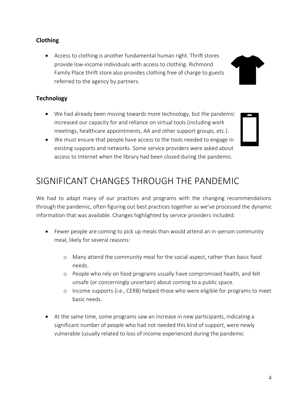#### <span id="page-6-0"></span>**Clothing**

• Access to clothing is another fundamental human right. Thrift stores provide low-income individuals with access to clothing. Richmond Family Place thrift store also provides clothing free of charge to guests referred to the agency by partners.

#### <span id="page-6-1"></span>**Technology**

- We had already been moving towards more technology, but the pandemic increased our capacity for and reliance on virtual tools (including work meetings, healthcare appointments, AA and other support groups, etc.).
- We must ensure that people have access to the tools needed to engage in existing supports and networks. Some service providers were asked about access to Internet when the library had been closed during the pandemic.

# <span id="page-6-2"></span>SIGNIFICANT CHANGES THROUGH THE PANDEMIC

We had to adapt many of our practices and programs with the changing recommendations through the pandemic, often figuring out best practices together as we've processed the dynamic information that was available. Changes highlighted by service providers included:

- Fewer people are coming to pick up meals than would attend an in-person community meal, likely for several reasons:
	- o Many attend the community meal for the social aspect, rather than basic food needs.
	- o People who rely on food programs usually have compromised health, and felt unsafe (or concerningly uncertain) about coming to a public space.
	- o Income supports (i.e., CERB) helped those who were eligible for programs to meet basic needs.
- At the same time, some programs saw an increase in new participants, indicating a significant number of people who had not needed this kind of support, were newly vulnerable (usually related to loss of income experienced during the pandemic

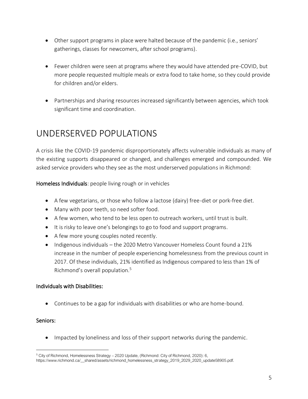- Other support programs in place were halted because of the pandemic (i.e., seniors' gatherings, classes for newcomers, after school programs).
- Fewer children were seen at programs where they would have attended pre-COVID, but more people requested multiple meals or extra food to take home, so they could provide for children and/or elders.
- Partnerships and sharing resources increased significantly between agencies, which took significant time and coordination.

### <span id="page-7-0"></span>UNDERSERVED POPULATIONS

A crisis like the COVID-19 pandemic disproportionately affects vulnerable individuals as many of the existing supports disappeared or changed, and challenges emerged and compounded. We asked service providers who they see as the most underserved populations in Richmond:

Homeless Individuals: people living rough or in vehicles

- A few vegetarians, or those who follow a lactose (dairy) free-diet or pork-free diet.
- Many with poor teeth, so need softer food.
- A few women, who tend to be less open to outreach workers, until trust is built.
- It is risky to leave one's belongings to go to food and support programs.
- A few more young couples noted recently.
- Indigenous individuals the 2020 Metro Vancouver Homeless Count found a 21% increase in the number of people experiencing homelessness from the previous count in 2017. Of these individuals, 21% identified as Indigenous compared to less than 1% of Richmond's overall population.<sup>5</sup>

#### Individuals with Disabilities:

• Continues to be a gap for individuals with disabilities or who are home-bound.

### Seniors:

• Impacted by loneliness and loss of their support networks during the pandemic.

 $5$  City of Richmond, Homelessness Strategy – 2020 Update, (Richmond: City of Richmond, 2020): 6, https://www.richmond.ca/\_\_shared/assets/richmond\_homelessness\_strategy\_2019\_2029\_2020\_update58905.pdf.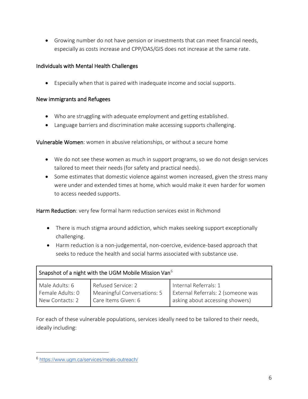• Growing number do not have pension or investments that can meet financial needs, especially as costs increase and CPP/OAS/GIS does not increase at the same rate.

### Individuals with Mental Health Challenges

• Especially when that is paired with inadequate income and social supports.

#### New immigrants and Refugees

- Who are struggling with adequate employment and getting established.
- Language barriers and discrimination make accessing supports challenging.

Vulnerable Women: women in abusive relationships, or without a secure home

- We do not see these women as much in support programs, so we do not design services tailored to meet their needs (for safety and practical needs).
- Some estimates that domestic violence against women increased, given the stress many were under and extended times at home, which would make it even harder for women to access needed supports.

Harm Reduction: very few formal harm reduction services exist in Richmond

- There is much stigma around addiction, which makes seeking support exceptionally challenging.
- Harm reduction is a non-judgemental, non-coercive, evidence-based approach that seeks to reduce the health and social harms associated with substance use.

| Snapshot of a night with the UGM Mobile Mission Van <sup>6</sup> |                             |                                    |  |  |  |  |
|------------------------------------------------------------------|-----------------------------|------------------------------------|--|--|--|--|
| Male Adults: 6                                                   | Refused Service: 2          | Internal Referrals: 1              |  |  |  |  |
| Female Adults: 0                                                 | Meaningful Conversations: 5 | External Referrals: 2 (someone was |  |  |  |  |
| New Contacts: 2                                                  | Care Items Given: 6         | asking about accessing showers)    |  |  |  |  |

For each of these vulnerable populations, services ideally need to be tailored to their needs, ideally including:

<sup>6</sup> <https://www.ugm.ca/services/meals-outreach/>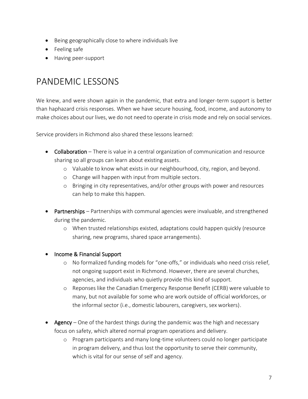- Being geographically close to where individuals live
- Feeling safe
- Having peer-support

# <span id="page-9-0"></span>PANDEMIC LESSONS

We knew, and were shown again in the pandemic, that extra and longer-term support is better than haphazard crisis responses. When we have secure housing, food, income, and autonomy to make choices about our lives, we do not need to operate in crisis mode and rely on social services.

Service providers in Richmond also shared these lessons learned:

- Collaboration There is value in a central organization of communication and resource sharing so all groups can learn about existing assets.
	- o Valuable to know what exists in our neighbourhood, city, region, and beyond.
	- o Change will happen with input from multiple sectors.
	- o Bringing in city representatives, and/or other groups with power and resources can help to make this happen.
- Partnerships Partnerships with communal agencies were invaluable, and strengthened during the pandemic.
	- o When trusted relationships existed, adaptations could happen quickly (resource sharing, new programs, shared space arrangements).
- Income & Financial Support
	- o No formalized funding models for "one-offs," or individuals who need crisis relief, not ongoing support exist in Richmond. However, there are several churches, agencies, and individuals who quietly provide this kind of support.
	- o Reponses like the Canadian Emergency Response Benefit (CERB) were valuable to many, but not available for some who are work outside of official workforces, or the informal sector (i.e., domestic labourers, caregivers, sex workers).
- Agency One of the hardest things during the pandemic was the high and necessary focus on safety, which altered normal program operations and delivery.
	- o Program participants and many long-time volunteers could no longer participate in program delivery, and thus lost the opportunity to serve their community, which is vital for our sense of self and agency.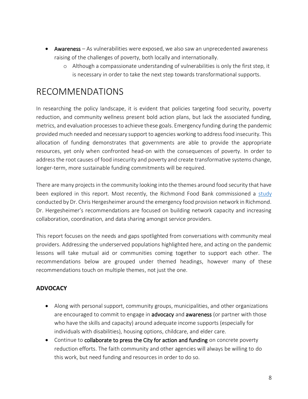- Awareness As vulnerabilities were exposed, we also saw an unprecedented awareness raising of the challenges of poverty, both locally and internationally.
	- o Although a compassionate understanding of vulnerabilities is only the first step, it is necessary in order to take the next step towards transformational supports.

### <span id="page-10-0"></span>RECOMMENDATIONS

In researching the policy landscape, it is evident that policies targeting food security, poverty reduction, and community wellness present bold action plans, but lack the associated funding, metrics, and evaluation processes to achieve these goals. Emergency funding during the pandemic provided much needed and necessary support to agencies working to address food insecurity. This allocation of funding demonstrates that governments are able to provide the appropriate resources, yet only when confronted head-on with the consequences of poverty. In order to address the root causes of food insecurity and poverty and create transformative systems change, longer-term, more sustainable funding commitments will be required.

There are many projects in the community looking into the themes around food security that have been explored in this report. Most recently, the Richmond Food Bank commissioned a [study](https://drive.google.com/file/d/1xnAs-PGU3f2UZZ9Rudswat1Gm7L2m93H/view?usp=sharing) conducted by Dr. Chris Hergesheimer around the emergency food provision network in Richmond. Dr. Hergesheimer's recommendations are focused on building network capacity and increasing collaboration, coordination, and data sharing amongst service providers.

This report focuses on the needs and gaps spotlighted from conversations with community meal providers. Addressing the underserved populations highlighted here, and acting on the pandemic lessons will take mutual aid or communities coming together to support each other. The recommendations below are grouped under themed headings, however many of these recommendations touch on multiple themes, not just the one.

### <span id="page-10-1"></span>**ADVOCACY**

- Along with personal support, community groups, municipalities, and other organizations are encouraged to commit to engage in **advocacy** and **awareness** (or partner with those who have the skills and capacity) around adequate income supports (especially for individuals with disabilities), housing options, childcare, and elder care.
- Continue to **collaborate to press the City for action and funding** on concrete poverty reduction efforts. The faith community and other agencies will always be willing to do this work, but need funding and resources in order to do so.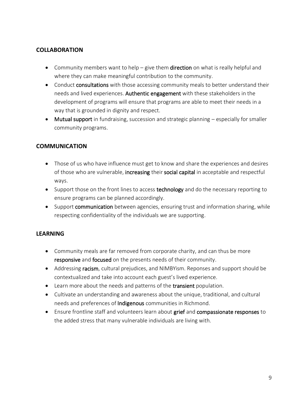#### <span id="page-11-0"></span>**COLLABORATION**

- Community members want to help give them **direction** on what is really helpful and where they can make meaningful contribution to the community.
- Conduct consultations with those accessing community meals to better understand their needs and lived experiences. Authentic engagement with these stakeholders in the development of programs will ensure that programs are able to meet their needs in a way that is grounded in dignity and respect.
- Mutual support in fundraising, succession and strategic planning especially for smaller community programs.

#### <span id="page-11-1"></span>**COMMUNICATION**

- Those of us who have influence must get to know and share the experiences and desires of those who are vulnerable, increasing their social capital in acceptable and respectful ways.
- Support those on the front lines to access technology and do the necessary reporting to ensure programs can be planned accordingly.
- Support communication between agencies, ensuring trust and information sharing, while respecting confidentiality of the individuals we are supporting.

#### <span id="page-11-2"></span>**LEARNING**

- Community meals are far removed from corporate charity, and can thus be more responsive and focused on the presents needs of their community.
- Addressing racism, cultural prejudices, and NIMBYism. Reponses and support should be contextualized and take into account each guest's lived experience.
- Learn more about the needs and patterns of the **transient** population.
- Cultivate an understanding and awareness about the unique, traditional, and cultural needs and preferences of **Indigenous** communities in Richmond.
- Ensure frontline staff and volunteers learn about grief and compassionate responses to the added stress that many vulnerable individuals are living with.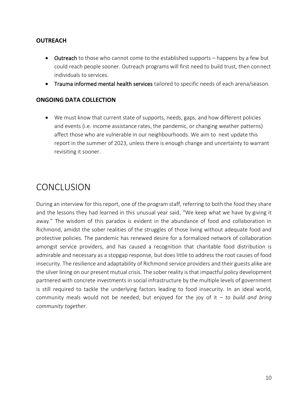#### <span id="page-12-0"></span>**OUTREACH**

- Outreach to those who cannot come to the established supports happens by a few but could reach people sooner. Outreach programs will first need to build trust, then connect individuals to services.
- Trauma informed mental health services tailored to specific needs of each arena/season.

#### <span id="page-12-1"></span>**ONGOING DATA COLLECTION**

• We must know that current state of supports, needs, gaps, and how different policies and events (i.e. income assistance rates, the pandemic, or changing weather patterns) affect those who are vulnerable in our neighbourhoods. We aim to next update this report in the summer of 2023, unless there is enough change and uncertainty to warrant revisiting it sooner.

### <span id="page-12-2"></span>CONCLUSION

During an interview for this report, one of the program staff, referring to both the food they share and the lessons they had learned in this unusual year said, "We keep what we have by giving it away." The wisdom of this paradox is evident in the abundance of food and collaboration in Richmond, amidst the sober realities of the struggles of those living without adequate food and protective policies. The pandemic has renewed desire for a formalized network of collaboration amongst service providers, and has caused a recognition that charitable food distribution is admirable and necessary as a stopgap response, but does little to address the root causes of food insecurity. The resilience and adaptability of Richmond service providers and their guests alike are the silver lining on our present mutual crisis. The sober reality is that impactful policy development partnered with concrete investments in social infrastructure by the multiple levels of government is still required to tackle the underlying factors leading to food insecurity. In an ideal world, community meals would not be needed, but enjoyed for the joy of it – *to build and bring community together*.